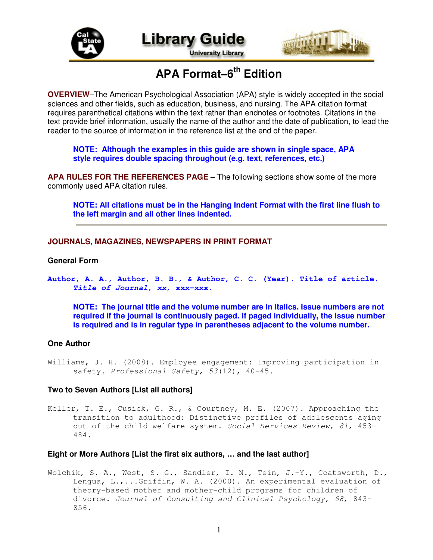



**University Library** 



# **APA Format–6 th Edition**

**OVERVIEW**–The American Psychological Association (APA) style is widely accepted in the social sciences and other fields, such as education, business, and nursing. The APA citation format requires parenthetical citations within the text rather than endnotes or footnotes. Citations in the text provide brief information, usually the name of the author and the date of publication, to lead the reader to the source of information in the reference list at the end of the paper.

**NOTE: Although the examples in this guide are shown in single space, APA style requires double spacing throughout (e.g. text, references, etc.)**

**APA RULES FOR THE REFERENCES PAGE** – The following sections show some of the more commonly used APA citation rules.

**NOTE: All citations must be in the Hanging Indent Format with the first line flush to the left margin and all other lines indented.**

**JOURNALS, MAGAZINES, NEWSPAPERS IN PRINT FORMAT**

# **General Form**

**Author, A. A., Author, B. B., & Author, C. C. (Year). Title of article.** *Title of Journal, xx,* **xxx-xxx.**

**NOTE: The journal title and the volume number are in italics. Issue numbers are not required if the journal is continuously paged. If paged individually, the issue number is required and is in regular type in parentheses adjacent to the volume number.**

# **One Author**

Williams, J. H. (2008). Employee engagement: Improving participation in safety. *Professional Safety, 53*(12), 40-45.

# **Two to Seven Authors [List all authors]**

Keller, T. E., Cusick, G. R., & Courtney, M. E. (2007). Approaching the transition to adulthood: Distinctive profiles of adolescents aging out of the child welfare system. *Social Services Review, 81*, 453- 484.

# **Eight or More Authors [List the first six authors, … and the last author]**

Wolchik, S. A., West, S. G., Sandler, I. N., Tein, J.-Y., Coatsworth, D., Lengua, L.,...Griffin, W. A. (2000). An experimental evaluation of theory-based mother and mother-child programs for children of divorce. *Journal of Consulting and Clinical Psychology, 68,* 843- 856.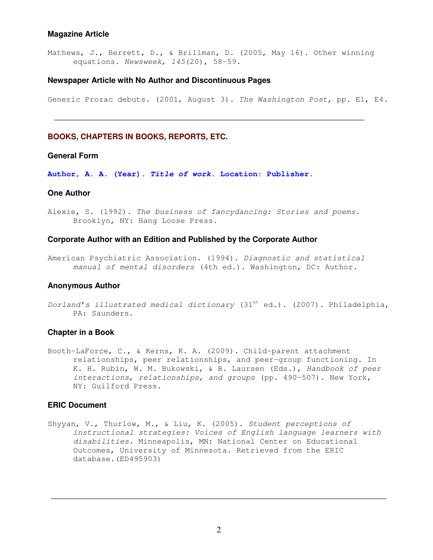## **Magazine Article**

Mathews, J., Berrett, D., & Brillman, D. (2005, May 16). Other winning equations. *Newsweek, 145*(20), 58-59.

#### **Newspaper Article with No Author and Discontinuous Pages**

Generic Prozac debuts. (2001, August 3). *The Washington Post,* pp. E1, E4.

## **BOOKS, CHAPTERS IN BOOKS, REPORTS, ETC.**

# **General Form**

**Author, A. A. (Year).** *Title of work***. Location: Publisher.**

#### **One Author**

Alexie, S. (1992). *The business of fancydancing: Stories and poems.* Brooklyn, NY: Hang Loose Press.

## **Corporate Author with an Edition and Published by the Corporate Author**

American Psychiatric Association. (1994). *Diagnostic and statistical manual of mental disorders* (4th ed.). Washington, DC: Author.

#### **Anonymous Author**

#### **Chapter in a Book**

Booth-LaForce, C., & Kerns, K. A. (2009). Child-parent attachment relationships, peer relationships, and peer-group functioning. In K. H. Rubin, W. M. Bukowski, & B. Laursen (Eds.), *Handbook of peer interactions, relationships, and groups* (pp. 490-507). New York, NY: Guilford Press.

# **ERIC Document**

Shyyan, V., Thurlow, M., & Liu, K. (2005). *Student perceptions of instructional strategies: Voices of English language learners with disabilities.* Minneapolis, MN: National Center on Educational Outcomes, University of Minnesota. Retrieved from the ERIC database.(ED495903)

*Dorland's illustrated medical dictionary* (31 st ed.). (2007). Philadelphia, PA: Saunders.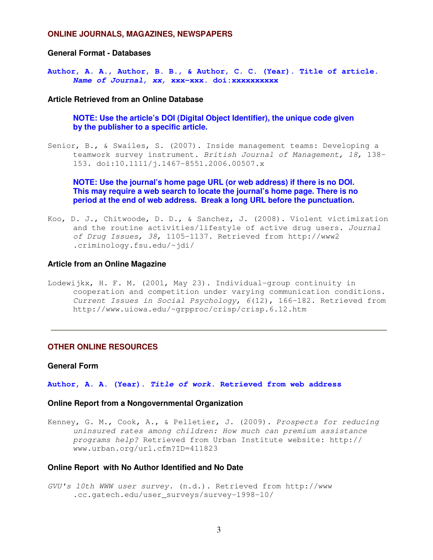#### **ONLINE JOURNALS, MAGAZINES, NEWSPAPERS**

## **General Format - Databases**

**Author, A. A., Author, B. B., & Author, C. C. (Year). Title of article.** *Name of Journal, xx,* **xxx-xxx. doi:xxxxxxxxxx**

### **Article Retrieved from an Online Database**

**NOTE: Use the article's DOI (Digital Object Identifier), the unique code given by the publisher to a specific article.**

Senior, B., & Swailes, S. (2007). Inside management teams: Developing a teamwork survey instrument. *British Journal of Management, 18,* 138- 153. doi:10.1111/j.1467-8551.2006.00507.x

**NOTE: Use the journal's home page URL (or web address) if there is no DOI. This may require a web search to locate the journal's home page. There is no period at the end of web address. Break a long URL before the punctuation.**

Koo, D. J., Chitwoode, D. D., & Sanchez, J. (2008). Violent victimization and the routine activities/lifestyle of active drug users. *Journal of Drug Issues, 38,* 1105-1137. Retrieved from http://www2 .criminology.fsu.edu/~jdi/

#### **Article from an Online Magazine**

Lodewijkx, H. F. M. (2001, May 23). Individual-group continuity in cooperation and competition under varying communication conditions. *Current Issues in Social Psychology, 6*(12), 166-182. Retrieved from http://www.uiowa.edu/~grpproc/crisp/crisp.6.12.htm

# **OTHER ONLINE RESOURCES**

# **General Form**

#### **Author, A. A. (Year).** *Title of work.* **Retrieved from web address**

#### **Online Report from a Nongovernmental Organization**

Kenney, G. M., Cook, A., & Pelletier, J. (2009). *Prospects for reducing uninsured rates among children: How much can premium assistance programs help?* Retrieved from Urban Institute website: http:// www.urban.org/url.cfm?ID=411823

## **Online Report with No Author Identified and No Date**

*GVU's 10th WWW user survey.* (n.d.). Retrieved from http://www .cc.gatech.edu/user\_surveys/survey-1998-10/